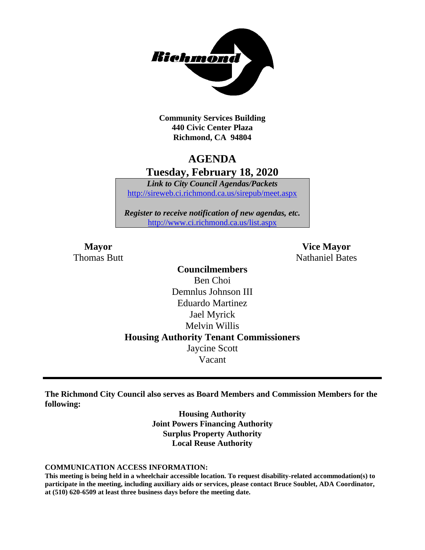

**Community Services Building 440 Civic Center Plaza Richmond, CA 94804**

# **AGENDA Tuesday, February 18, 2020**

*Link to City Council Agendas/Packets* <http://sireweb.ci.richmond.ca.us/sirepub/meet.aspx>

*Register to receive notification of new agendas, etc.* <http://www.ci.richmond.ca.us/list.aspx>

**Mayor Vice Mayor Thomas Butt** Nathaniel Bates

## **Councilmembers** Ben Choi Demnlus Johnson III Eduardo Martinez Jael Myrick Melvin Willis **Housing Authority Tenant Commissioners** Jaycine Scott Vacant

**The Richmond City Council also serves as Board Members and Commission Members for the following:**

> **Housing Authority Joint Powers Financing Authority Surplus Property Authority Local Reuse Authority**

#### **COMMUNICATION ACCESS INFORMATION:**

**This meeting is being held in a wheelchair accessible location. To request disability-related accommodation(s) to participate in the meeting, including auxiliary aids or services, please contact Bruce Soublet, ADA Coordinator, at (510) 620-6509 at least three business days before the meeting date.**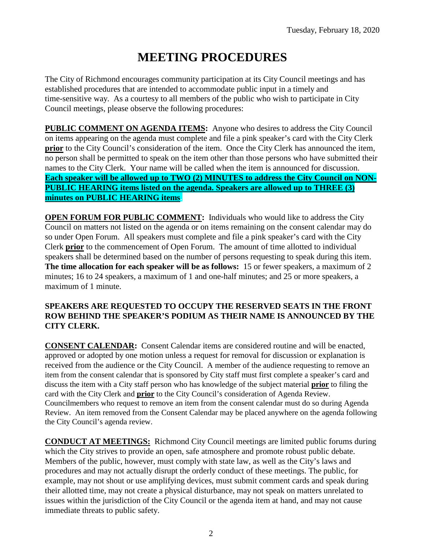# **MEETING PROCEDURES**

The City of Richmond encourages community participation at its City Council meetings and has established procedures that are intended to accommodate public input in a timely and time-sensitive way. As a courtesy to all members of the public who wish to participate in City Council meetings, please observe the following procedures:

**PUBLIC COMMENT ON AGENDA ITEMS:** Anyone who desires to address the City Council on items appearing on the agenda must complete and file a pink speaker's card with the City Clerk **prior** to the City Council's consideration of the item. Once the City Clerk has announced the item, no person shall be permitted to speak on the item other than those persons who have submitted their names to the City Clerk. Your name will be called when the item is announced for discussion. **Each speaker will be allowed up to TWO (2) MINUTES to address the City Council on NON-PUBLIC HEARING items listed on the agenda. Speakers are allowed up to THREE (3) minutes on PUBLIC HEARING items.**

**OPEN FORUM FOR PUBLIC COMMENT:** Individuals who would like to address the City Council on matters not listed on the agenda or on items remaining on the consent calendar may do so under Open Forum. All speakers must complete and file a pink speaker's card with the City Clerk **prior** to the commencement of Open Forum. The amount of time allotted to individual speakers shall be determined based on the number of persons requesting to speak during this item. **The time allocation for each speaker will be as follows:** 15 or fewer speakers, a maximum of 2 minutes; 16 to 24 speakers, a maximum of 1 and one-half minutes; and 25 or more speakers, a maximum of 1 minute.

### **SPEAKERS ARE REQUESTED TO OCCUPY THE RESERVED SEATS IN THE FRONT ROW BEHIND THE SPEAKER'S PODIUM AS THEIR NAME IS ANNOUNCED BY THE CITY CLERK.**

**CONSENT CALENDAR:** Consent Calendar items are considered routine and will be enacted, approved or adopted by one motion unless a request for removal for discussion or explanation is received from the audience or the City Council. A member of the audience requesting to remove an item from the consent calendar that is sponsored by City staff must first complete a speaker's card and discuss the item with a City staff person who has knowledge of the subject material **prior** to filing the card with the City Clerk and **prior** to the City Council's consideration of Agenda Review. Councilmembers who request to remove an item from the consent calendar must do so during Agenda Review. An item removed from the Consent Calendar may be placed anywhere on the agenda following the City Council's agenda review.

**CONDUCT AT MEETINGS:** Richmond City Council meetings are limited public forums during which the City strives to provide an open, safe atmosphere and promote robust public debate. Members of the public, however, must comply with state law, as well as the City's laws and procedures and may not actually disrupt the orderly conduct of these meetings. The public, for example, may not shout or use amplifying devices, must submit comment cards and speak during their allotted time, may not create a physical disturbance, may not speak on matters unrelated to issues within the jurisdiction of the City Council or the agenda item at hand, and may not cause immediate threats to public safety.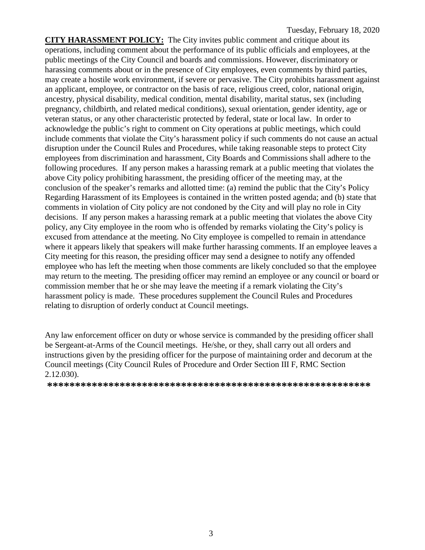**CITY HARASSMENT POLICY:** The City invites public comment and critique about its operations, including comment about the performance of its public officials and employees, at the public meetings of the City Council and boards and commissions. However, discriminatory or harassing comments about or in the presence of City employees, even comments by third parties, may create a hostile work environment, if severe or pervasive. The City prohibits harassment against an applicant, employee, or contractor on the basis of race, religious creed, color, national origin, ancestry, physical disability, medical condition, mental disability, marital status, sex (including pregnancy, childbirth, and related medical conditions), sexual orientation, gender identity, age or veteran status, or any other characteristic protected by federal, state or local law. In order to acknowledge the public's right to comment on City operations at public meetings, which could include comments that violate the City's harassment policy if such comments do not cause an actual disruption under the Council Rules and Procedures, while taking reasonable steps to protect City employees from discrimination and harassment, City Boards and Commissions shall adhere to the following procedures. If any person makes a harassing remark at a public meeting that violates the above City policy prohibiting harassment, the presiding officer of the meeting may, at the conclusion of the speaker's remarks and allotted time: (a) remind the public that the City's Policy Regarding Harassment of its Employees is contained in the written posted agenda; and (b) state that comments in violation of City policy are not condoned by the City and will play no role in City decisions. If any person makes a harassing remark at a public meeting that violates the above City policy, any City employee in the room who is offended by remarks violating the City's policy is excused from attendance at the meeting. No City employee is compelled to remain in attendance where it appears likely that speakers will make further harassing comments. If an employee leaves a City meeting for this reason, the presiding officer may send a designee to notify any offended employee who has left the meeting when those comments are likely concluded so that the employee may return to the meeting. The presiding officer may remind an employee or any council or board or commission member that he or she may leave the meeting if a remark violating the City's harassment policy is made. These procedures supplement the Council Rules and Procedures relating to disruption of orderly conduct at Council meetings.

Any law enforcement officer on duty or whose service is commanded by the presiding officer shall be Sergeant-at-Arms of the Council meetings. He/she, or they, shall carry out all orders and instructions given by the presiding officer for the purpose of maintaining order and decorum at the Council meetings (City Council Rules of Procedure and Order Section III F, RMC Section 2.12.030).

**\*\*\*\*\*\*\*\*\*\*\*\*\*\*\*\*\*\*\*\*\*\*\*\*\*\*\*\*\*\*\*\*\*\*\*\*\*\*\*\*\*\*\*\*\*\*\*\*\*\*\*\*\*\*\*\*\*\***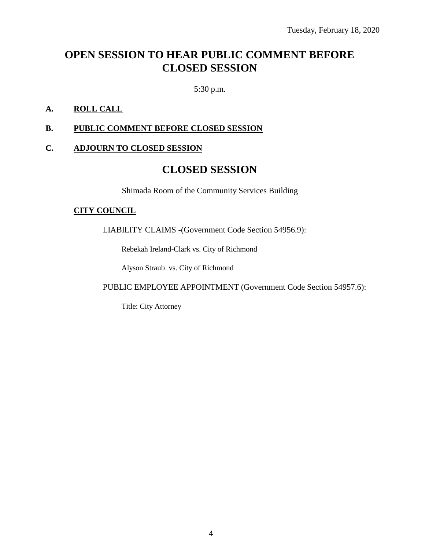# **OPEN SESSION TO HEAR PUBLIC COMMENT BEFORE CLOSED SESSION**

5:30 p.m.

### **A. ROLL CALL**

### **B. PUBLIC COMMENT BEFORE CLOSED SESSION**

### **C. ADJOURN TO CLOSED SESSION**

### **CLOSED SESSION**

Shimada Room of the Community Services Building

### **CITY COUNCIL**

LIABILITY CLAIMS -(Government Code Section 54956.9):

Rebekah Ireland-Clark vs. City of Richmond

Alyson Straub vs. City of Richmond

PUBLIC EMPLOYEE APPOINTMENT (Government Code Section 54957.6):

Title: City Attorney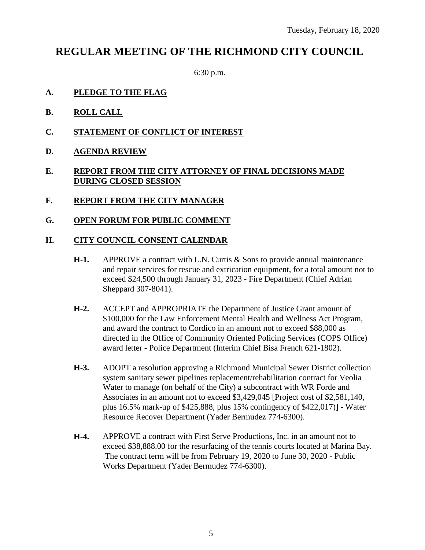# **REGULAR MEETING OF THE RICHMOND CITY COUNCIL**

6:30 p.m.

- **A. PLEDGE TO THE FLAG**
- **B. ROLL CALL**
- **C. STATEMENT OF CONFLICT OF INTEREST**
- **D. AGENDA REVIEW**

### **E. REPORT FROM THE CITY ATTORNEY OF FINAL DECISIONS MADE DURING CLOSED SESSION**

- **F. REPORT FROM THE CITY MANAGER**
- **G. OPEN FORUM FOR PUBLIC COMMENT**

### **H. CITY COUNCIL CONSENT CALENDAR**

- **H-1.** APPROVE a contract with L.N. Curtis & Sons to provide annual maintenance and repair services for rescue and extrication equipment, for a total amount not to exceed \$24,500 through January 31, 2023 - Fire Department (Chief Adrian Sheppard 307-8041).
- **H-2.** ACCEPT and APPROPRIATE the Department of Justice Grant amount of \$100,000 for the Law Enforcement Mental Health and Wellness Act Program, and award the contract to Cordico in an amount not to exceed \$88,000 as directed in the Office of Community Oriented Policing Services (COPS Office) award letter - Police Department (Interim Chief Bisa French 621-1802).
- **H-3.** ADOPT a resolution approving a Richmond Municipal Sewer District collection system sanitary sewer pipelines replacement/rehabilitation contract for Veolia Water to manage (on behalf of the City) a subcontract with WR Forde and Associates in an amount not to exceed \$3,429,045 [Project cost of \$2,581,140, plus 16.5% mark-up of \$425,888, plus 15% contingency of \$422,017)] - Water Resource Recover Department (Yader Bermudez 774-6300).
- **H-4.** APPROVE a contract with First Serve Productions, Inc. in an amount not to exceed \$38,888.00 for the resurfacing of the tennis courts located at Marina Bay. The contract term will be from February 19, 2020 to June 30, 2020 - Public Works Department (Yader Bermudez 774-6300).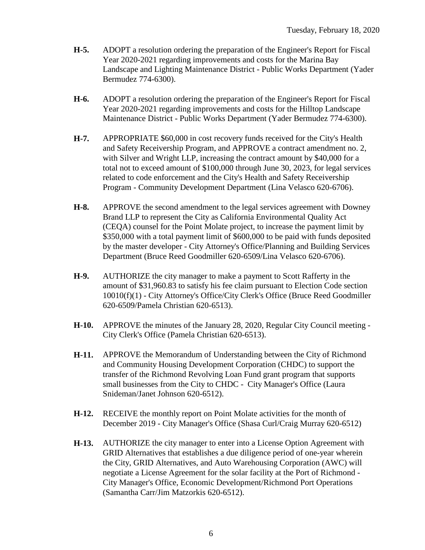- **H-5.** ADOPT a resolution ordering the preparation of the Engineer's Report for Fiscal Year 2020-2021 regarding improvements and costs for the Marina Bay Landscape and Lighting Maintenance District - Public Works Department (Yader Bermudez 774-6300).
- **H-6.** ADOPT a resolution ordering the preparation of the Engineer's Report for Fiscal Year 2020-2021 regarding improvements and costs for the Hilltop Landscape Maintenance District - Public Works Department (Yader Bermudez 774-6300).
- **H-7.** APPROPRIATE \$60,000 in cost recovery funds received for the City's Health and Safety Receivership Program, and APPROVE a contract amendment no. 2, with Silver and Wright LLP, increasing the contract amount by \$40,000 for a total not to exceed amount of \$100,000 through June 30, 2023, for legal services related to code enforcement and the City's Health and Safety Receivership Program - Community Development Department (Lina Velasco 620-6706).
- **H-8.** APPROVE the second amendment to the legal services agreement with Downey Brand LLP to represent the City as California Environmental Quality Act (CEQA) counsel for the Point Molate project, to increase the payment limit by \$350,000 with a total payment limit of \$600,000 to be paid with funds deposited by the master developer - City Attorney's Office/Planning and Building Services Department (Bruce Reed Goodmiller 620-6509/Lina Velasco 620-6706).
- **H-9.** AUTHORIZE the city manager to make a payment to Scott Rafferty in the amount of \$31,960.83 to satisfy his fee claim pursuant to Election Code section 10010(f)(1) - City Attorney's Office/City Clerk's Office (Bruce Reed Goodmiller 620-6509/Pamela Christian 620-6513).
- **H-10.** APPROVE the minutes of the January 28, 2020, Regular City Council meeting City Clerk's Office (Pamela Christian 620-6513).
- **H-11.** APPROVE the Memorandum of Understanding between the City of Richmond and Community Housing Development Corporation (CHDC) to support the transfer of the Richmond Revolving Loan Fund grant program that supports small businesses from the City to CHDC - City Manager's Office (Laura Snideman/Janet Johnson 620-6512).
- **H-12.** RECEIVE the monthly report on Point Molate activities for the month of December 2019 - City Manager's Office (Shasa Curl/Craig Murray 620-6512)
- **H-13.** AUTHORIZE the city manager to enter into a License Option Agreement with GRID Alternatives that establishes a due diligence period of one-year wherein the City, GRID Alternatives, and Auto Warehousing Corporation (AWC) will negotiate a License Agreement for the solar facility at the Port of Richmond - City Manager's Office, Economic Development/Richmond Port Operations (Samantha Carr/Jim Matzorkis 620-6512).